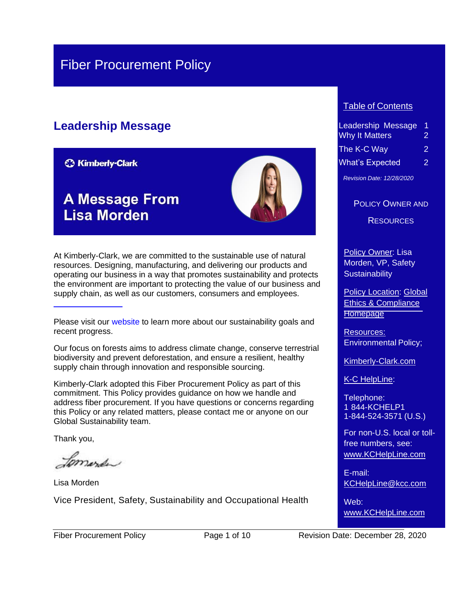# Fiber Procurement Policy

# **Leadership Message**

**C3 Kimberly-Clark** 

# **A Message From Lisa Morden**



At Kimberly-Clark, we are committed to the sustainable use of natural resources. Designing, manufacturing, and delivering our products and operating our business in a way that promotes sustainability and protects the environment are important to protecting the value of our business and supply chain, as well as our customers, consumers and employees.

Our focus on forests aims to address climate change, conserve terrestrial biodiversity and prevent deforestation, and ensure a resilient, healthy supply chain through innovation and responsible sourcing.

Kimberly-Clark adopted this Fiber Procurement Policy as part of this commitment. This Policy provides guidance on how we handle and address fiber procurement. If you have questions or concerns regarding this Policy or any related matters, please contact me or anyone on our Global Sustainability team.

Thank you,

Jomerda

Lisa Morden

Vice President, Safety, Sustainability and Occupational Health

#### Table of Contents

| Leadership Message    | 1 |  |  |  |
|-----------------------|---|--|--|--|
| <b>Why It Matters</b> |   |  |  |  |
| The K-C Way           |   |  |  |  |
| What's Expected       | 2 |  |  |  |

*Revision Date: 12/28/2020*

#### POLICY OWNER AND

**RESOURCES** 

Policy Owner: Lisa Morden, VP, Safety **Sustainability** 

**Policy Location: [Global](https://kimberlyclark.sharepoint.com/sites/f289/SitePages/Home.aspx)** [Ethics & Compliance](https://kimberlyclark.sharepoint.com/sites/f289/SitePages/Home.aspx) **[Homepage](https://kimberlyclark.sharepoint.com/sites/f289/SitePages/Home.aspx)** 

Resources: [Environmental](https://kimberlyclark.sharepoint.com/sites/f289/RiskProgPolicy/Shared%20Documents/Environmental%20Policy.pdf) Policy;

[Kimberly-Clark.com](https://www.kimberly-clark.com/en/esg)

K-C HelpLine:

Telephone: 1 844-KCHELP1 1-844-524-3571 (U.S.)

For non-U.S. local or tollfree numbers, see: [www.KCHelpLine.com](http://www.kchelpline.com/)

E-mail: [KCHelpLine@kcc.com](mailto:KCHelpLine@kcc.com)

Web: [www.KCHelpLine.com](http://www.kchelpline.com/)

Please visit our [website](https://www.kimberly-clark.com/en/esg) to learn more about our sustainability goals and recent progress.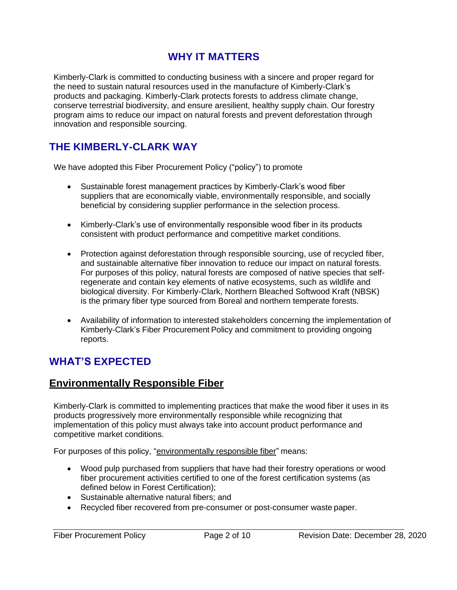# **WHY IT MATTERS**

Kimberly-Clark is committed to conducting business with a sincere and proper regard for the need to sustain natural resources used in the manufacture of Kimberly-Clark's products and packaging. Kimberly-Clark protects forests to address climate change, conserve terrestrial biodiversity, and ensure aresilient, healthy supply chain. Our forestry program aims to reduce our impact on natural forests and prevent deforestation through innovation and responsible sourcing.

## <span id="page-1-0"></span>**THE KIMBERLY-CLARK WAY**

We have adopted this Fiber Procurement Policy ("policy") to promote

- Sustainable forest management practices by Kimberly-Clark's wood fiber suppliers that are economically viable, environmentally responsible, and socially beneficial by considering supplier performance in the selection process.
- Kimberly-Clark's use of environmentally responsible wood fiber in its products consistent with product performance and competitive market conditions.
- Protection against deforestation through responsible sourcing, use of recycled fiber, and sustainable alternative fiber innovation to reduce our impact on natural forests. For purposes of this policy, natural forests are composed of native species that selfregenerate and contain key elements of native ecosystems, such as wildlife and biological diversity. For Kimberly-Clark, Northern Bleached Softwood Kraft (NBSK) is the primary fiber type sourced from Boreal and northern temperate forests.
- Availability of information to interested stakeholders concerning the implementation of Kimberly-Clark's Fiber Procurement Policy and commitment to providing ongoing reports.

### <span id="page-1-1"></span>**WHAT'S EXPECTED**

### **Environmentally Responsible Fiber**

Kimberly-Clark is committed to implementing practices that make the wood fiber it uses in its products progressively more environmentally responsible while recognizing that implementation of this policy must always take into account product performance and competitive market conditions.

For purposes of this policy, "environmentally responsible fiber" means:

- Wood pulp purchased from suppliers that have had their forestry operations or wood fiber procurement activities certified to one of the forest certification systems (as defined below in Forest Certification);
- Sustainable alternative natural fibers; and
- Recycled fiber recovered from pre-consumer or post-consumer waste paper.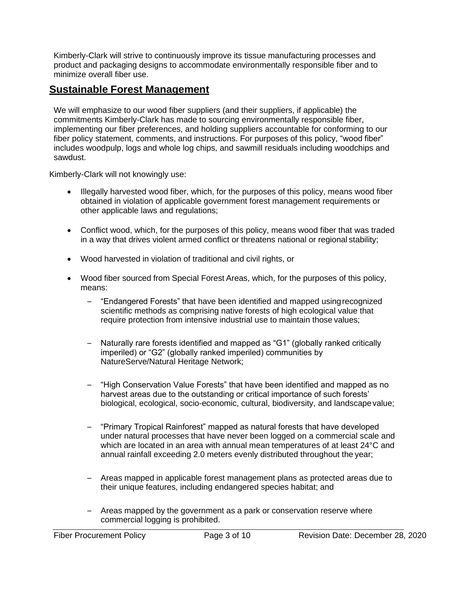Kimberly-Clark will strive to continuously improve its tissue manufacturing processes and product and packaging designs to accommodate environmentally responsible fiber and to minimize overall fiber use.

#### **Sustainable Forest Management**

We will emphasize to our wood fiber suppliers (and their suppliers, if applicable) the commitments Kimberly-Clark has made to sourcing environmentally responsible fiber, implementing our fiber preferences, and holding suppliers accountable for conforming to our fiber policy statement, comments, and instructions. For purposes of this policy, "wood fiber" includes woodpulp, logs and whole log chips, and sawmill residuals including woodchips and sawdust.

Kimberly-Clark will not knowingly use:

- Illegally harvested wood fiber, which, for the purposes of this policy, means wood fiber obtained in violation of applicable government forest management requirements or other applicable laws and regulations;
- Conflict wood, which, for the purposes of this policy, means wood fiber that was traded in a way that drives violent armed conflict or threatens national or regional stability;
- Wood harvested in violation of traditional and civil rights, or
- Wood fiber sourced from Special Forest Areas, which, for the purposes of this policy, means:
	- "Endangered Forests" that have been identified and mapped usingrecognized scientific methods as comprising native forests of high ecological value that require protection from intensive industrial use to maintain those values;
	- Naturally rare forests identified and mapped as "G1" (globally ranked critically imperiled) or "G2" (globally ranked imperiled) communities by NatureServe/Natural Heritage Network;
	- "High Conservation Value Forests" that have been identified and mapped as no harvest areas due to the outstanding or critical importance of such forests' biological, ecological, socio-economic, cultural, biodiversity, and landscapevalue;
	- "Primary Tropical Rainforest" mapped as natural forests that have developed under natural processes that have never been logged on a commercial scale and which are located in an area with annual mean temperatures of at least 24°C and annual rainfall exceeding 2.0 meters evenly distributed throughout the year;
	- Areas mapped in applicable forest management plans as protected areas due to their unique features, including endangered species habitat; and
	- Areas mapped by the government as a park or conservation reserve where commercial logging is prohibited.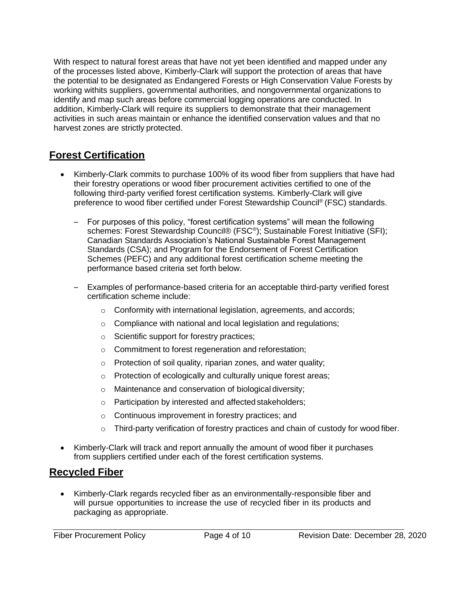With respect to natural forest areas that have not yet been identified and mapped under any of the processes listed above, Kimberly-Clark will support the protection of areas that have the potential to be designated as Endangered Forests or High Conservation Value Forests by working withits suppliers, governmental authorities, and nongovernmental organizations to identify and map such areas before commercial logging operations are conducted. In addition, Kimberly-Clark will require its suppliers to demonstrate that their management activities in such areas maintain or enhance the identified conservation values and that no harvest zones are strictly protected.

## **Forest Certification**

- Kimberly-Clark commits to purchase 100% of its wood fiber from suppliers that have had their forestry operations or wood fiber procurement activities certified to one of the following third-party verified forest certification systems. Kimberly-Clark will give preference to wood fiber certified under Forest Stewardship Council® (FSC) standards.
	- For purposes of this policy, "forest certification systems" will mean the following schemes: Forest Stewardship Council® (FSC®); Sustainable Forest Initiative (SFI); Canadian Standards Association's National Sustainable Forest Management Standards (CSA); and Program for the Endorsement of Forest Certification Schemes (PEFC) and any additional forest certification scheme meeting the performance based criteria set forth below.
	- Examples of performance-based criteria for an acceptable third-party verified forest certification scheme include:
		- o Conformity with international legislation, agreements, and accords;
		- o Compliance with national and local legislation and regulations;
		- o Scientific support for forestry practices;
		- o Commitment to forest regeneration and reforestation;
		- o Protection of soil quality, riparian zones, and water quality;
		- o Protection of ecologically and culturally unique forest areas;
		- o Maintenance and conservation of biological diversity;
		- o Participation by interested and affected stakeholders;
		- o Continuous improvement in forestry practices; and
		- $\circ$  Third-party verification of forestry practices and chain of custody for wood fiber.
- Kimberly-Clark will track and report annually the amount of wood fiber it purchases from suppliers certified under each of the forest certification systems.

### **Recycled Fiber**

• Kimberly-Clark regards recycled fiber as an environmentally-responsible fiber and will pursue opportunities to increase the use of recycled fiber in its products and packaging as appropriate.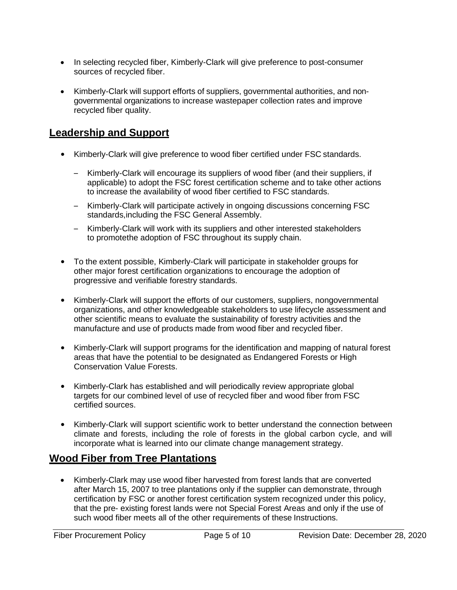- In selecting recycled fiber, Kimberly-Clark will give preference to post-consumer sources of recycled fiber.
- Kimberly-Clark will support efforts of suppliers, governmental authorities, and nongovernmental organizations to increase wastepaper collection rates and improve recycled fiber quality.

### **Leadership and Support**

- Kimberly-Clark will give preference to wood fiber certified under FSC standards.
	- Kimberly-Clark will encourage its suppliers of wood fiber (and their suppliers, if applicable) to adopt the FSC forest certification scheme and to take other actions to increase the availability of wood fiber certified to FSC standards.
	- Kimberly-Clark will participate actively in ongoing discussions concerning FSC standards,including the FSC General Assembly.
	- Kimberly-Clark will work with its suppliers and other interested stakeholders to promotethe adoption of FSC throughout its supply chain.
- To the extent possible, Kimberly-Clark will participate in stakeholder groups for other major forest certification organizations to encourage the adoption of progressive and verifiable forestry standards.
- Kimberly-Clark will support the efforts of our customers, suppliers, nongovernmental organizations, and other knowledgeable stakeholders to use lifecycle assessment and other scientific means to evaluate the sustainability of forestry activities and the manufacture and use of products made from wood fiber and recycled fiber.
- Kimberly-Clark will support programs for the identification and mapping of natural forest areas that have the potential to be designated as Endangered Forests or High Conservation Value Forests.
- Kimberly-Clark has established and will periodically review appropriate global targets for our combined level of use of recycled fiber and wood fiber from FSC certified sources.
- Kimberly-Clark will support scientific work to better understand the connection between climate and forests, including the role of forests in the global carbon cycle, and will incorporate what is learned into our climate change management strategy.

# **Wood Fiber from Tree Plantations**

• Kimberly-Clark may use wood fiber harvested from forest lands that are converted after March 15, 2007 to tree plantations only if the supplier can demonstrate, through certification by FSC or another forest certification system recognized under this policy, that the pre- existing forest lands were not Special Forest Areas and only if the use of such wood fiber meets all of the other requirements of these Instructions.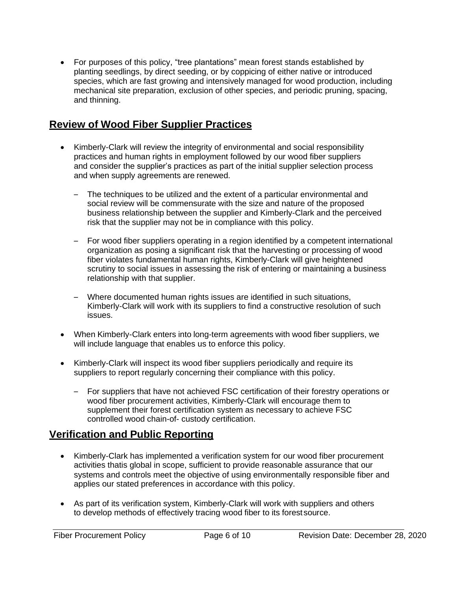• For purposes of this policy, "tree plantations" mean forest stands established by planting seedlings, by direct seeding, or by coppicing of either native or introduced species, which are fast growing and intensively managed for wood production, including mechanical site preparation, exclusion of other species, and periodic pruning, spacing, and thinning.

#### **Review of Wood Fiber Supplier Practices**

- Kimberly-Clark will review the integrity of environmental and social responsibility practices and human rights in employment followed by our wood fiber suppliers and consider the supplier's practices as part of the initial supplier selection process and when supply agreements are renewed.
	- The techniques to be utilized and the extent of a particular environmental and social review will be commensurate with the size and nature of the proposed business relationship between the supplier and Kimberly-Clark and the perceived risk that the supplier may not be in compliance with this policy.
	- For wood fiber suppliers operating in a region identified by a competent international organization as posing a significant risk that the harvesting or processing of wood fiber violates fundamental human rights, Kimberly-Clark will give heightened scrutiny to social issues in assessing the risk of entering or maintaining a business relationship with that supplier.
	- Where documented human rights issues are identified in such situations, Kimberly-Clark will work with its suppliers to find a constructive resolution of such issues.
- When Kimberly-Clark enters into long-term agreements with wood fiber suppliers, we will include language that enables us to enforce this policy.
- Kimberly-Clark will inspect its wood fiber suppliers periodically and require its suppliers to report regularly concerning their compliance with this policy.
	- For suppliers that have not achieved FSC certification of their forestry operations or wood fiber procurement activities, Kimberly-Clark will encourage them to supplement their forest certification system as necessary to achieve FSC controlled wood chain-of- custody certification.

### **Verification and Public Reporting**

- Kimberly-Clark has implemented a verification system for our wood fiber procurement activities thatis global in scope, sufficient to provide reasonable assurance that our systems and controls meet the objective of using environmentally responsible fiber and applies our stated preferences in accordance with this policy.
- As part of its verification system, Kimberly-Clark will work with suppliers and others to develop methods of effectively tracing wood fiber to its forestsource.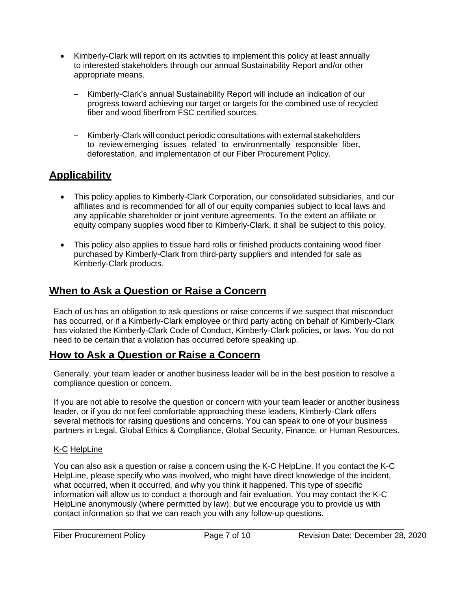- Kimberly-Clark will report on its activities to implement this policy at least annually to interested stakeholders through our annual Sustainability Report and/or other appropriate means.
	- Kimberly-Clark's annual Sustainability Report will include an indication of our progress toward achieving our target or targets for the combined use of recycled fiber and wood fiberfrom FSC certified sources.
	- Kimberly-Clark will conduct periodic consultations with external stakeholders to review emerging issues related to environmentally responsible fiber, deforestation, and implementation of our Fiber Procurement Policy.

# **Applicability**

- This policy applies to Kimberly-Clark Corporation, our consolidated subsidiaries, and our affiliates and is recommended for all of our equity companies subject to local laws and any applicable shareholder or joint venture agreements. To the extent an affiliate or equity company supplies wood fiber to Kimberly-Clark, it shall be subject to this policy.
- This policy also applies to tissue hard rolls or finished products containing wood fiber purchased by Kimberly-Clark from third-party suppliers and intended for sale as Kimberly-Clark products.

### **When to Ask a Question or Raise a Concern**

Each of us has an obligation to ask questions or raise concerns if we suspect that misconduct has occurred, or if a Kimberly-Clark employee or third party acting on behalf of Kimberly-Clark has violated the Kimberly-Clark Code of Conduct, Kimberly-Clark policies, or laws. You do not need to be certain that a violation has occurred before speaking up.

### **How to Ask a Question or Raise a Concern**

Generally, your team leader or another business leader will be in the best position to resolve a compliance question or concern.

If you are not able to resolve the question or concern with your team leader or another business leader, or if you do not feel comfortable approaching these leaders, Kimberly-Clark offers several methods for raising questions and concerns. You can speak to one of your business partners in Legal, Global Ethics & Compliance, Global Security, Finance, or Human Resources.

#### K-C HelpLine

You can also ask a question or raise a concern using the K-C HelpLine. If you contact the K-C HelpLine, please specify who was involved, who might have direct knowledge of the incident, what occurred, when it occurred, and why you think it happened. This type of specific information will allow us to conduct a thorough and fair evaluation. You may contact the K-C HelpLine anonymously (where permitted by law), but we encourage you to provide us with contact information so that we can reach you with any follow-up questions.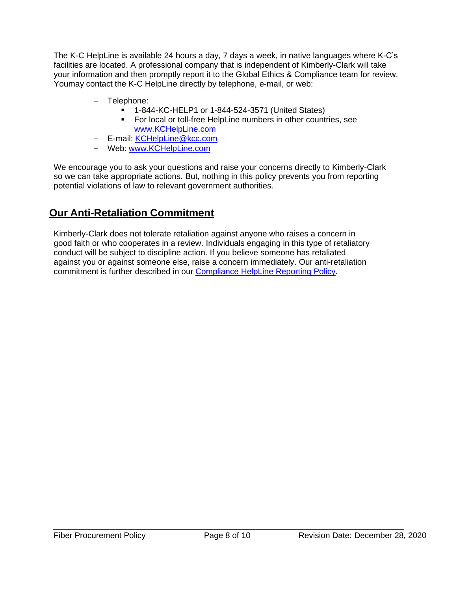The K-C HelpLine is available 24 hours a day, 7 days a week, in native languages where K-C's facilities are located. A professional company that is independent of Kimberly-Clark will take your information and then promptly report it to the Global Ethics & Compliance team for review. Youmay contact the K-C HelpLine directly by telephone, e-mail, or web:

- Telephone:
	- 1-844-KC-HELP1 or 1-844-524-3571 (United States)
	- **•** For local or toll-free HelpLine numbers in other countries, see [www.KCHelpLine.com](http://www.kchelpline.com/)
- E-mail: [KCHelpLine@kcc.com](mailto:KCHelpLine@kcc.com)
- Web: [www.KCHelpLine.com](http://www.kchelpline.com/)

We encourage you to ask your questions and raise your concerns directly to Kimberly-Clark so we can take appropriate actions. But, nothing in this policy prevents you from reporting potential violations of law to relevant government authorities.

# **Our Anti-Retaliation Commitment**

Kimberly-Clark does not tolerate retaliation against anyone who raises a concern in good faith or who cooperates in a review. Individuals engaging in this type of retaliatory conduct will be subject to discipline action. If you believe someone has retaliated against you or against someone else, raise a concern immediately. Our anti-retaliation commitment is further described in our [Compliance HelpLine Reporting](https://kimberlyclark.sharepoint.com/sites/f289/SitePages/HelpLineResources.aspx) Policy.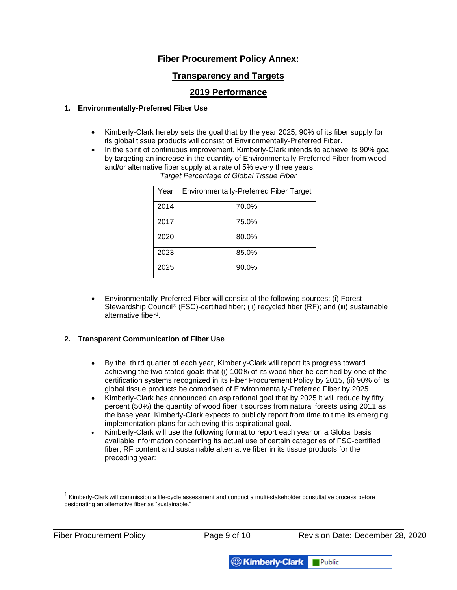#### **Fiber Procurement Policy Annex:**

#### **Transparency and Targets**

#### **2019 Performance**

#### **1. Environmentally-Preferred Fiber Use**

- Kimberly-Clark hereby sets the goal that by the year 2025, 90% of its fiber supply for its global tissue products will consist of Environmentally-Preferred Fiber.
- In the spirit of continuous improvement, Kimberly-Clark intends to achieve its 90% goal by targeting an increase in the quantity of Environmentally-Preferred Fiber from wood and/or alternative fiber supply at a rate of 5% every three years:

| Year | <b>Environmentally-Preferred Fiber Target</b> |
|------|-----------------------------------------------|
| 2014 | 70.0%                                         |
| 2017 | 75.0%                                         |
| 2020 | 80.0%                                         |
| 2023 | 85.0%                                         |
| 2025 | 90.0%                                         |

*Target Percentage of Global Tissue Fiber*

• Environmentally-Preferred Fiber will consist of the following sources: (i) Forest Stewardship Council® (FSC)-certified fiber; (ii) recycled fiber (RF); and (iii) sustainable alternative fiber<sup>1</sup>.

#### **2. Transparent Communication of Fiber Use**

- By the third quarter of each year, Kimberly-Clark will report its progress toward achieving the two stated goals that (i) 100% of its wood fiber be certified by one of the certification systems recognized in its Fiber Procurement Policy by 2015, (ii) 90% of its global tissue products be comprised of Environmentally-Preferred Fiber by 2025.
- Kimberly-Clark has announced an aspirational goal that by 2025 it will reduce by fifty percent (50%) the quantity of wood fiber it sources from natural forests using 2011 as the base year. Kimberly-Clark expects to publicly report from time to time its emerging implementation plans for achieving this aspirational goal.
- Kimberly-Clark will use the following format to report each year on a Global basis available information concerning its actual use of certain categories of FSC-certified fiber, RF content and sustainable alternative fiber in its tissue products for the preceding year:

 $1$  Kimberly-Clark will commission a life-cycle assessment and conduct a multi-stakeholder consultative process before designating an alternative fiber as "sustainable."